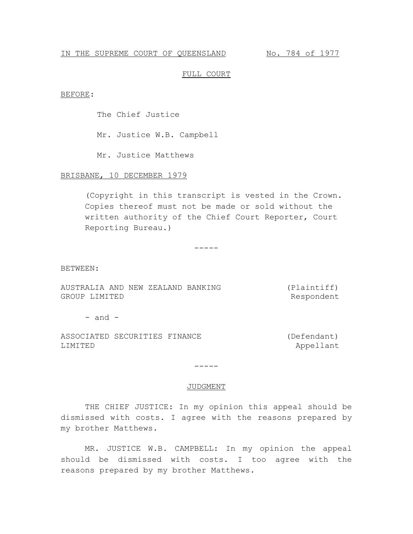#### IN THE SUPREME COURT OF QUEENSLAND No. 784 of 1977

#### FULL COURT

BEFORE:

The Chief Justice

Mr. Justice W.B. Campbell

Mr. Justice Matthews

# BRISBANE, 10 DECEMBER 1979

(Copyright in this transcript is vested in the Crown. Copies thereof must not be made or sold without the written authority of the Chief Court Reporter, Court Reporting Bureau.)

-----

BETWEEN:

AUSTRALIA AND NEW ZEALAND BANKING GROUP LIMITED (Plaintiff) Respondent

 $-$  and  $-$ 

ASSOCIATED SECURITIES FINANCE LIMITED

(Defendant) Appellant

-----

#### JUDGMENT

THE CHIEF JUSTICE: In my opinion this appeal should be dismissed with costs. I agree with the reasons prepared by my brother Matthews.

MR. JUSTICE W.B. CAMPBELL: In my opinion the appeal should be dismissed with costs. I too agree with the reasons prepared by my brother Matthews.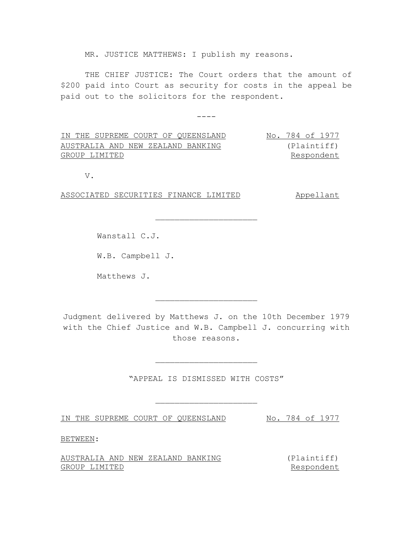MR. JUSTICE MATTHEWS: I publish my reasons.

THE CHIEF JUSTICE: The Court orders that the amount of \$200 paid into Court as security for costs in the appeal be paid out to the solicitors for the respondent.

----

IN THE SUPREME COURT OF QUEENSLAND No. 784 of 1977 AUSTRALIA AND NEW ZEALAND BANKING GROUP LIMITED (Plaintiff) Respondent

 $\overline{\phantom{a}}$  , where  $\overline{\phantom{a}}$  , where  $\overline{\phantom{a}}$  , where  $\overline{\phantom{a}}$ 

V.

ASSOCIATED SECURITIES FINANCE LIMITED Appellant

Wanstall C.J.

W.B. Campbell J.

Matthews J.

Judgment delivered by Matthews J. on the 10th December 1979 with the Chief Justice and W.B. Campbell J. concurring with those reasons.

 $\overline{\phantom{a}}$  , where  $\overline{\phantom{a}}$  , where  $\overline{\phantom{a}}$  , where  $\overline{\phantom{a}}$ 

"APPEAL IS DISMISSED WITH COSTS"

 $\overline{\phantom{a}}$  , where  $\overline{\phantom{a}}$  , where  $\overline{\phantom{a}}$  , where  $\overline{\phantom{a}}$ 

 $\overline{\phantom{a}}$  , where  $\overline{\phantom{a}}$  , where  $\overline{\phantom{a}}$  , where  $\overline{\phantom{a}}$ 

IN THE SUPREME COURT OF QUEENSLAND No. 784 of 1977

BETWEEN:

AUSTRALIA AND NEW ZEALAND BANKING GROUP LIMITED

(Plaintiff) Respondent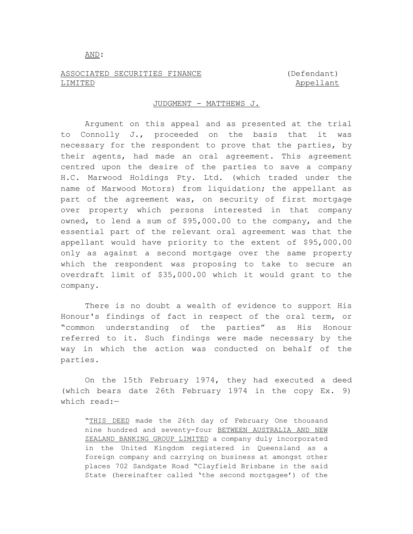#### AND:

## ASSOCIATED SECURITIES FINANCE LIMITED

## (Defendant) Appellant

### JUDGMENT - MATTHEWS J.

Argument on this appeal and as presented at the trial to Connolly J., proceeded on the basis that it was necessary for the respondent to prove that the parties, by their agents, had made an oral agreement. This agreement centred upon the desire of the parties to save a company H.C. Marwood Holdings Pty. Ltd. (which traded under the name of Marwood Motors) from liquidation; the appellant as part of the agreement was, on security of first mortgage over property which persons interested in that company owned, to lend a sum of \$95,000.00 to the company, and the essential part of the relevant oral agreement was that the appellant would have priority to the extent of \$95,000.00 only as against a second mortgage over the same property which the respondent was proposing to take to secure an overdraft limit of \$35,000.00 which it would grant to the company.

There is no doubt a wealth of evidence to support His Honour's findings of fact in respect of the oral term, or "common understanding of the parties" as His Honour referred to it. Such findings were made necessary by the way in which the action was conducted on behalf of the parties.

On the 15th February 1974, they had executed a deed (which bears date 26th February 1974 in the copy Ex. 9) which read:—

"THIS DEED made the 26th day of February One thousand nine hundred and seventy-four BETWEEN AUSTRALIA AND NEW ZEALAND BANKING GROUP LIMITED a company duly incorporated in the United Kingdom registered in Queensland as a foreign company and carrying on business at amongst other places 702 Sandgate Road "Clayfield Brisbane in the said State (hereinafter called 'the second mortgagee') of the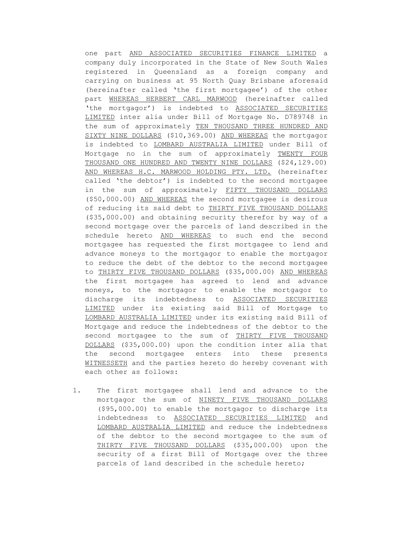one part AND ASSOCIATED SECURITIES FINANCE LIMITED a company duly incorporated in the State of New South Wales registered in Queensland as a foreign company and carrying on business at 95 North Quay Brisbane aforesaid (hereinafter called 'the first mortgagee') of the other part WHEREAS HERBERT CARL MARWOOD (hereinafter called 'the mortgagor') is indebted to ASSOCIATED SECURITIES LIMITED inter alia under Bill of Mortgage No. D789748 in the sum of approximately TEN THOUSAND THREE HUNDRED AND SIXTY NINE DOLLARS (\$10,369.00) AND WHEREAS the mortgagor is indebted to LOMBARD AUSTRALIA LIMITED under Bill of Mortgage no in the sum of approximately TWENTY FOUR THOUSAND ONE HUNDRED AND TWENTY NINE DOLLARS (\$24,129.00) AND WHEREAS H.C. MARWOOD HOLDING PTY. LTD. (hereinafter called 'the debtor') is indebted to the second mortgagee in the sum of approximately FIFTY THOUSAND DOLLARS (\$50,000.00) AND WHEREAS the second mortgagee is desirous of reducing its said debt to THIRTY FIVE THOUSAND DOLLARS (\$35,000.00) and obtaining security therefor by way of a second mortgage over the parcels of land described in the schedule hereto AND WHEREAS to such end the second mortgagee has requested the first mortgagee to lend and advance moneys to the mortgagor to enable the mortgagor to reduce the debt of the debtor to the second mortgagee to THIRTY FIVE THOUSAND DOLLARS (\$35,000.00) AND WHEREAS the first mortgagee has agreed to lend and advance moneys, to the mortgagor to enable the mortgagor to discharge its indebtedness to ASSOCIATED SECURITIES LIMITED under its existing said Bill of Mortgage to LOMBARD AUSTRALIA LIMITED under its existing said Bill of Mortgage and reduce the indebtedness of the debtor to the second mortgagee to the sum of THIRTY FIVE THOUSAND DOLLARS (\$35,000.00) upon the condition inter alia that the second mortgagee enters into these presents WITNESSETH and the parties hereto do hereby covenant with each other as follows:

1. The first mortgagee shall lend and advance to the mortgagor the sum of NINETY FIVE THOUSAND DOLLARS (\$95,000.00) to enable the mortgagor to discharge its indebtedness to ASSOCIATED SECURITIES LIMITED and LOMBARD AUSTRALIA LIMITED and reduce the indebtedness of the debtor to the second mortgagee to the sum of THIRTY FIVE THOUSAND DOLLARS (\$35,000.00) upon the security of a first Bill of Mortgage over the three parcels of land described in the schedule hereto;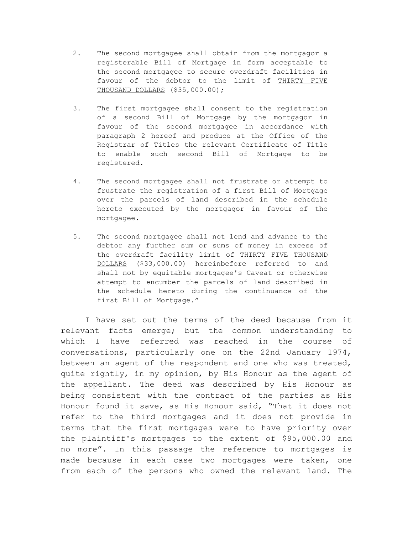- 2. The second mortgagee shall obtain from the mortgagor a registerable Bill of Mortgage in form acceptable to the second mortgagee to secure overdraft facilities in favour of the debtor to the limit of THIRTY FIVE THOUSAND DOLLARS (\$35,000.00);
- 3. The first mortgagee shall consent to the registration of a second Bill of Mortgage by the mortgagor in favour of the second mortgagee in accordance with paragraph 2 hereof and produce at the Office of the Registrar of Titles the relevant Certificate of Title to enable such second Bill of Mortgage to be registered.
- 4. The second mortgagee shall not frustrate or attempt to frustrate the registration of a first Bill of Mortgage over the parcels of land described in the schedule hereto executed by the mortgagor in favour of the mortgagee.
- 5. The second mortgagee shall not lend and advance to the debtor any further sum or sums of money in excess of the overdraft facility limit of THIRTY FIVE THOUSAND DOLLARS (\$33,000.00) hereinbefore referred to and shall not by equitable mortgagee's Caveat or otherwise attempt to encumber the parcels of land described in the schedule hereto during the continuance of the first Bill of Mortgage."

I have set out the terms of the deed because from it relevant facts emerge; but the common understanding to which I have referred was reached in the course of conversations, particularly one on the 22nd January 1974, between an agent of the respondent and one who was treated, quite rightly, in my opinion, by His Honour as the agent of the appellant. The deed was described by His Honour as being consistent with the contract of the parties as His Honour found it save, as His Honour said, "That it does not refer to the third mortgages and it does not provide in terms that the first mortgages were to have priority over the plaintiff's mortgages to the extent of \$95,000.00 and no more". In this passage the reference to mortgages is made because in each case two mortgages were taken, one from each of the persons who owned the relevant land. The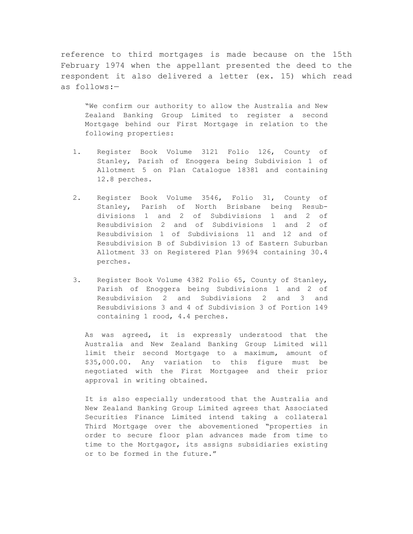reference to third mortgages is made because on the 15th February 1974 when the appellant presented the deed to the respondent it also delivered a letter (ex. 15) which read as follows:—

"We confirm our authority to allow the Australia and New Zealand Banking Group Limited to register a second Mortgage behind our First Mortgage in relation to the following properties:

- 1. Register Book Volume 3121 Folio 126, County of Stanley, Parish of Enoggera being Subdivision 1 of Allotment 5 on Plan Catalogue 18381 and containing 12.8 perches.
- 2. Register Book Volume 3546, Folio 31, County of Stanley, Parish of North Brisbane being Resubdivisions 1 and 2 of Subdivisions 1 and 2 of Resubdivision 2 and of Subdivisions 1 and 2 of Resubdivision 1 of Subdivisions 11 and 12 and of Resubdivision B of Subdivision 13 of Eastern Suburban Allotment 33 on Registered Plan 99694 containing 30.4 perches.
- 3. Register Book Volume 4382 Folio 65, County of Stanley, Parish of Enoggera being Subdivisions 1 and 2 of Resubdivision 2 and Subdivisions 2 and 3 and Resubdivisions 3 and 4 of Subdivision 3 of Portion 149 containing 1 rood, 4.4 perches.

As was agreed, it is expressly understood that the Australia and New Zealand Banking Group Limited will limit their second Mortgage to a maximum, amount of \$35,000.00. Any variation to this figure must be negotiated with the First Mortgagee and their prior approval in writing obtained.

It is also especially understood that the Australia and New Zealand Banking Group Limited agrees that Associated Securities Finance Limited intend taking a collateral Third Mortgage over the abovementioned "properties in order to secure floor plan advances made from time to time to the Mortgagor, its assigns subsidiaries existing or to be formed in the future."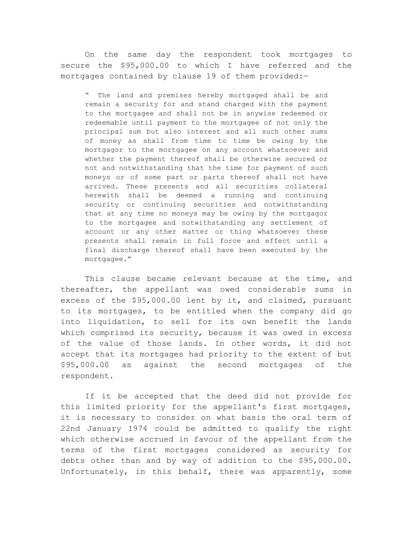On the same day the respondent took mortgages to secure the \$95,000.00 to which I have referred and the mortgages contained by clause 19 of them provided:-

" The land and premises hereby mortgaged shall be and remain a security for and stand charged with the payment to the mortgagee and shall not be in anywise redeemed or redeemable until payment to the mortgagee of not only the principal sum but also interest and all such other sums of money as shall from time to time be owing by the mortgagor to the mortgagee on any account whatsoever and whether the payment thereof shall be otherwise secured or not and notwithstanding that the time for payment of such moneys or of some part or parts thereof shall not have arrived. These presents and all securities collateral herewith shall be deemed a running and continuing security or continuing securities and notwithstanding that at any time no moneys may be owing by the mortgagor to the mortgagee and notwithstanding any settlement of account or any other matter or thing whatsoever these presents shall remain in full force and effect until a final discharge thereof shall have been executed by the mortgagee."

This clause became relevant because at the time, and thereafter, the appellant was owed considerable sums in excess of the \$95,000.00 lent by it, and claimed, pursuant to its mortgages, to be entitled when the company did go into liquidation, to sell for its own benefit the lands which comprised its security, because it was owed in excess of the value of those lands. In other words, it did not accept that its mortgages had priority to the extent of but \$95,000.00 as against the second mortgages of the respondent.

If it be accepted that the deed did not provide for this limited priority for the appellant's first mortgages, it is necessary to consider on what basis the oral term of 22nd January 1974 could be admitted to qualify the right which otherwise accrued in favour of the appellant from the terms of the first mortgages considered as security for debts other than and by way of addition to the \$95,000.00. Unfortunately, in this behalf, there was apparently, some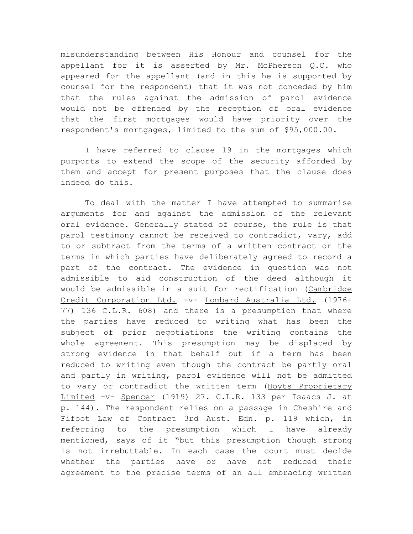misunderstanding between His Honour and counsel for the appellant for it is asserted by Mr. McPherson Q.C. who appeared for the appellant (and in this he is supported by counsel for the respondent) that it was not conceded by him that the rules against the admission of parol evidence would not be offended by the reception of oral evidence that the first mortgages would have priority over the respondent's mortgages, limited to the sum of \$95,000.00.

I have referred to clause 19 in the mortgages which purports to extend the scope of the security afforded by them and accept for present purposes that the clause does indeed do this.

To deal with the matter I have attempted to summarise arguments for and against the admission of the relevant oral evidence. Generally stated of course, the rule is that parol testimony cannot be received to contradict, vary, add to or subtract from the terms of a written contract or the terms in which parties have deliberately agreed to record a part of the contract. The evidence in question was not admissible to aid construction of the deed although it would be admissible in a suit for rectification (Cambridge Credit Corporation Ltd. -v- Lombard Australia Ltd. (1976- 77) 136 C.L.R. 608) and there is a presumption that where the parties have reduced to writing what has been the subject of prior negotiations the writing contains the whole agreement. This presumption may be displaced by strong evidence in that behalf but if a term has been reduced to writing even though the contract be partly oral and partly in writing, parol evidence will not be admitted to vary or contradict the written term (Hoyts Proprietary Limited -v- Spencer (1919) 27. C.L.R. 133 per Isaacs J. at p. 144). The respondent relies on a passage in Cheshire and Fifoot Law of Contract 3rd Aust. Edn. p. 119 which, in referring to the presumption which I have already mentioned, says of it "but this presumption though strong is not irrebuttable. In each case the court must decide whether the parties have or have not reduced their agreement to the precise terms of an all embracing written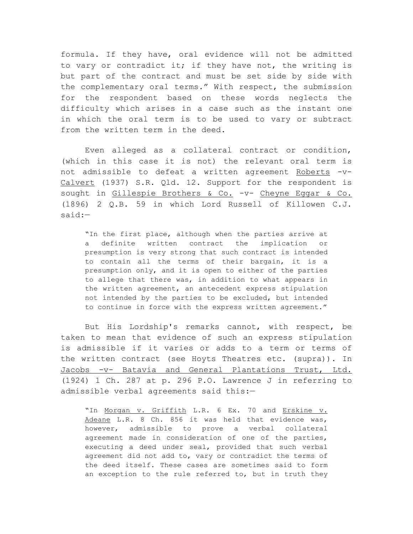formula. If they have, oral evidence will not be admitted to vary or contradict it; if they have not, the writing is but part of the contract and must be set side by side with the complementary oral terms." With respect, the submission for the respondent based on these words neglects the difficulty which arises in a case such as the instant one in which the oral term is to be used to vary or subtract from the written term in the deed.

Even alleged as a collateral contract or condition, (which in this case it is not) the relevant oral term is not admissible to defeat a written agreement Roberts -v-Calvert (1937) S.R. Qld. 12. Support for the respondent is sought in Gillespie Brothers & Co. -v- Cheyne Eggar & Co. (1896) 2 Q.B. 59 in which Lord Russell of Killowen C.J. said:—

"In the first place, although when the parties arrive at a definite written contract the implication or presumption is very strong that such contract is intended to contain all the terms of their bargain, it is a presumption only, and it is open to either of the parties to allege that there was, in addition to what appears in the written agreement, an antecedent express stipulation not intended by the parties to be excluded, but intended to continue in force with the express written agreement."

But His Lordship's remarks cannot, with respect, be taken to mean that evidence of such an express stipulation is admissible if it varies or adds to a term or terms of the written contract (see Hoyts Theatres etc. (supra)). In Jacobs -v- Batavia and General Plantations Trust, Ltd. (1924) 1 Ch. 287 at p. 296 P.O. Lawrence J in referring to admissible verbal agreements said this:—

"In Morgan v. Griffith L.R. 6 Ex. 70 and Erskine v. Adeane L.R. 8 Ch. 856 it was held that evidence was, however, admissible to prove a verbal collateral agreement made in consideration of one of the parties, executing a deed under seal, provided that such verbal agreement did not add to, vary or contradict the terms of the deed itself. These cases are sometimes said to form an exception to the rule referred to, but in truth they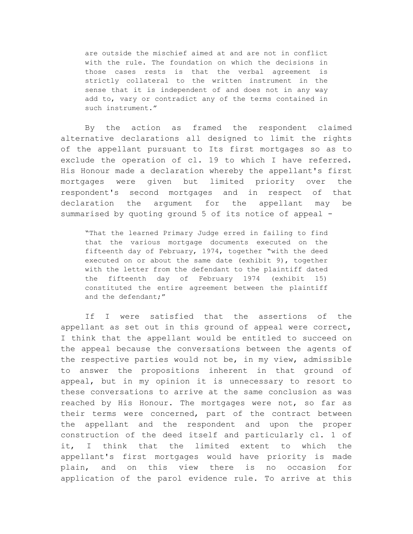are outside the mischief aimed at and are not in conflict with the rule. The foundation on which the decisions in those cases rests is that the verbal agreement is strictly collateral to the written instrument in the sense that it is independent of and does not in any way add to, vary or contradict any of the terms contained in such instrument."

By the action as framed the respondent claimed alternative declarations all designed to limit the rights of the appellant pursuant to Its first mortgages so as to exclude the operation of cl. 19 to which I have referred. His Honour made a declaration whereby the appellant's first mortgages were given but limited priority over the respondent's second mortgages and in respect of that declaration the argument for the appellant may be summarised by quoting ground 5 of its notice of appeal -

"That the learned Primary Judge erred in failing to find that the various mortgage documents executed on the fifteenth day of February, 1974, together "with the deed executed on or about the same date (exhibit 9), together with the letter from the defendant to the plaintiff dated the fifteenth day of February 1974 (exhibit 15) constituted the entire agreement between the plaintiff and the defendant;"

If I were satisfied that the assertions of the appellant as set out in this ground of appeal were correct, I think that the appellant would be entitled to succeed on the appeal because the conversations between the agents of the respective parties would not be, in my view, admissible to answer the propositions inherent in that ground of appeal, but in my opinion it is unnecessary to resort to these conversations to arrive at the same conclusion as was reached by His Honour. The mortgages were not, so far as their terms were concerned, part of the contract between the appellant and the respondent and upon the proper construction of the deed itself and particularly cl. 1 of it, I think that the limited extent to which the appellant's first mortgages would have priority is made plain, and on this view there is no occasion for application of the parol evidence rule. To arrive at this